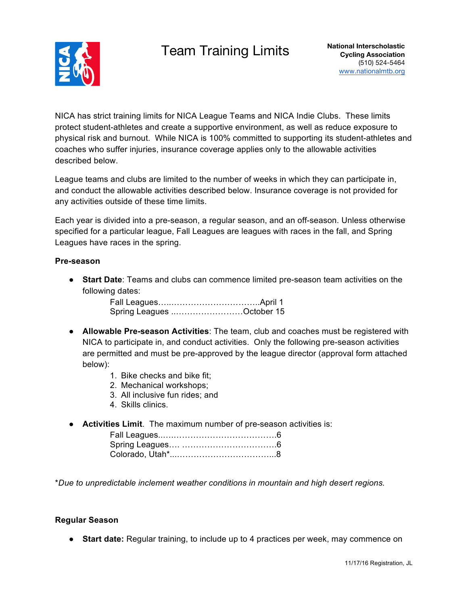## Team Training Limits **National Interscholastic**



NICA has strict training limits for NICA League Teams and NICA Indie Clubs. These limits protect student-athletes and create a supportive environment, as well as reduce exposure to physical risk and burnout. While NICA is 100% committed to supporting its student-athletes and coaches who suffer injuries, insurance coverage applies only to the allowable activities described below.

League teams and clubs are limited to the number of weeks in which they can participate in, and conduct the allowable activities described below. Insurance coverage is not provided for any activities outside of these time limits.

Each year is divided into a pre-season, a regular season, and an off-season. Unless otherwise specified for a particular league, Fall Leagues are leagues with races in the fall, and Spring Leagues have races in the spring.

#### **Pre-season**

● **Start Date**: Teams and clubs can commence limited pre-season team activities on the following dates:

| Spring Leagues October 15 |  |
|---------------------------|--|

- **Allowable Pre-season Activities**: The team, club and coaches must be registered with NICA to participate in, and conduct activities. Only the following pre-season activities are permitted and must be pre-approved by the league director (approval form attached below):
	- 1. Bike checks and bike fit;
	- 2. Mechanical workshops;
	- 3. All inclusive fun rides; and
	- 4. Skills clinics.
- **Activities Limit**. The maximum number of pre-season activities is:

\**Due to unpredictable inclement weather conditions in mountain and high desert regions.*

#### **Regular Season**

● **Start date:** Regular training, to include up to 4 practices per week, may commence on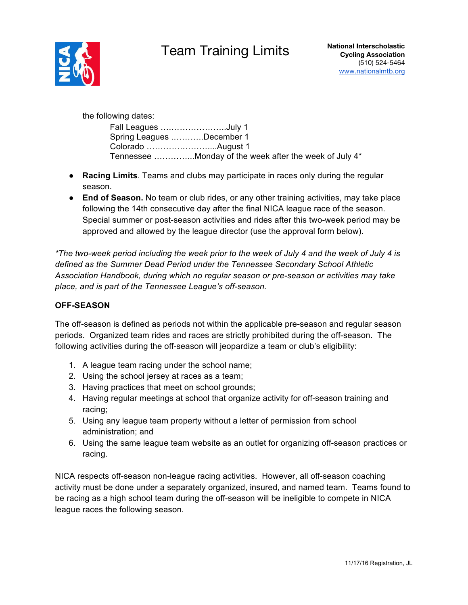# Team Training Limits **National Interscholastic**



the following dates:

| Fall Leagues July 1       |                                                        |
|---------------------------|--------------------------------------------------------|
| Spring Leagues December 1 |                                                        |
|                           |                                                        |
|                           | Tennessee Monday of the week after the week of July 4* |

- **Racing Limits**. Teams and clubs may participate in races only during the regular season.
- **End of Season.** No team or club rides, or any other training activities, may take place following the 14th consecutive day after the final NICA league race of the season. Special summer or post-season activities and rides after this two-week period may be approved and allowed by the league director (use the approval form below).

*\*The two-week period including the week prior to the week of July 4 and the week of July 4 is defined as the Summer Dead Period under the Tennessee Secondary School Athletic Association Handbook, during which no regular season or pre-season or activities may take place, and is part of the Tennessee League's off-season.*

### **OFF-SEASON**

The off-season is defined as periods not within the applicable pre-season and regular season periods. Organized team rides and races are strictly prohibited during the off-season. The following activities during the off-season will jeopardize a team or club's eligibility:

- 1. A league team racing under the school name;
- 2. Using the school jersey at races as a team;
- 3. Having practices that meet on school grounds;
- 4. Having regular meetings at school that organize activity for off-season training and racing;
- 5. Using any league team property without a letter of permission from school administration; and
- 6. Using the same league team website as an outlet for organizing off-season practices or racing.

NICA respects off-season non-league racing activities. However, all off-season coaching activity must be done under a separately organized, insured, and named team. Teams found to be racing as a high school team during the off-season will be ineligible to compete in NICA league races the following season.